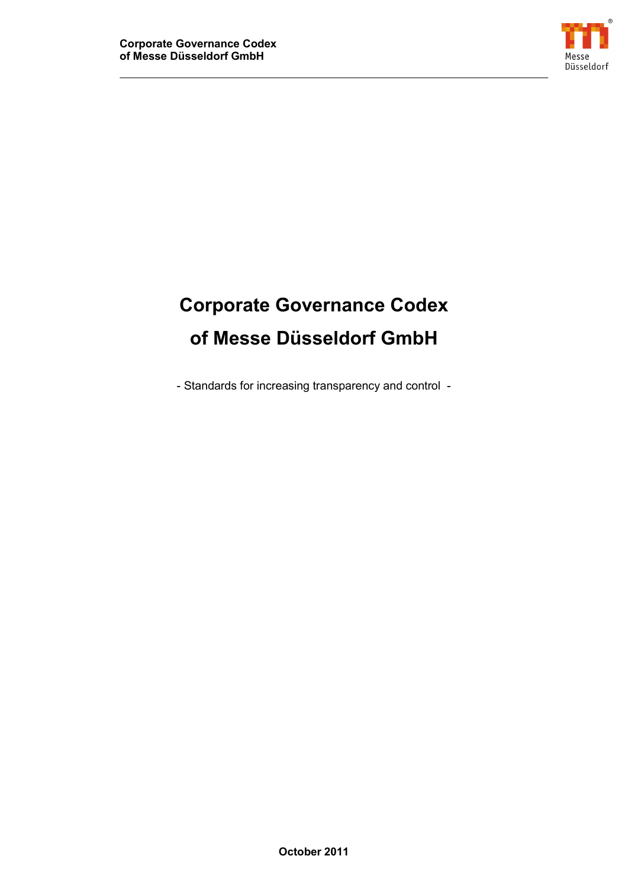

# **Corporate Governance Codex of Messe Düsseldorf GmbH**

- Standards for increasing transparency and control -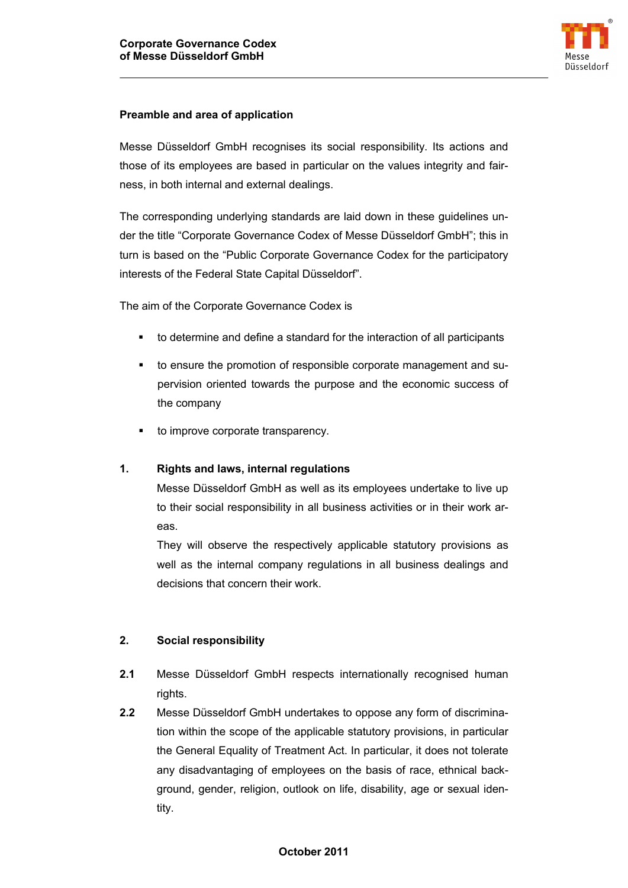

## **Preamble and area of application**

Messe Düsseldorf GmbH recognises its social responsibility. Its actions and those of its employees are based in particular on the values integrity and fairness, in both internal and external dealings.

The corresponding underlying standards are laid down in these guidelines under the title "Corporate Governance Codex of Messe Düsseldorf GmbH"; this in turn is based on the "Public Corporate Governance Codex for the participatory interests of the Federal State Capital Düsseldorf".

The aim of the Corporate Governance Codex is

- to determine and define a standard for the interaction of all participants
- to ensure the promotion of responsible corporate management and supervision oriented towards the purpose and the economic success of the company
- to improve corporate transparency.

## **1. Rights and laws, internal regulations**

Messe Düsseldorf GmbH as well as its employees undertake to live up to their social responsibility in all business activities or in their work areas.

They will observe the respectively applicable statutory provisions as well as the internal company regulations in all business dealings and decisions that concern their work.

## **2. Social responsibility**

- **2.1** Messe Düsseldorf GmbH respects internationally recognised human rights.
- **2.2** Messe Düsseldorf GmbH undertakes to oppose any form of discrimination within the scope of the applicable statutory provisions, in particular the General Equality of Treatment Act. In particular, it does not tolerate any disadvantaging of employees on the basis of race, ethnical background, gender, religion, outlook on life, disability, age or sexual identity.

#### **October 2011**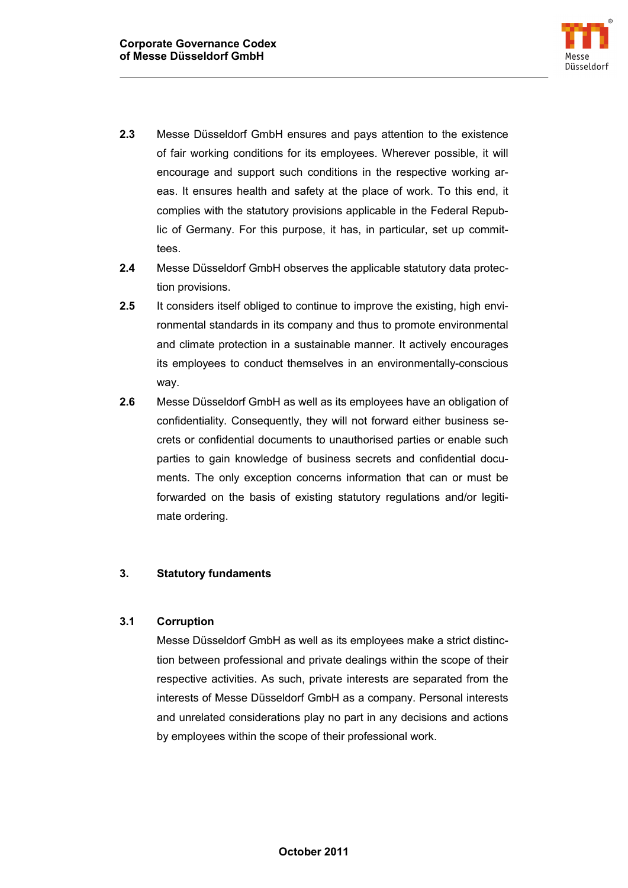

- **2.3** Messe Düsseldorf GmbH ensures and pays attention to the existence of fair working conditions for its employees. Wherever possible, it will encourage and support such conditions in the respective working areas. It ensures health and safety at the place of work. To this end, it complies with the statutory provisions applicable in the Federal Republic of Germany. For this purpose, it has, in particular, set up committees.
- **2.4** Messe Düsseldorf GmbH observes the applicable statutory data protection provisions.
- **2.5** It considers itself obliged to continue to improve the existing, high environmental standards in its company and thus to promote environmental and climate protection in a sustainable manner. It actively encourages its employees to conduct themselves in an environmentally-conscious way.
- **2.6** Messe Düsseldorf GmbH as well as its employees have an obligation of confidentiality. Consequently, they will not forward either business secrets or confidential documents to unauthorised parties or enable such parties to gain knowledge of business secrets and confidential documents. The only exception concerns information that can or must be forwarded on the basis of existing statutory regulations and/or legitimate ordering.

## **3. Statutory fundaments**

## **3.1 Corruption**

Messe Düsseldorf GmbH as well as its employees make a strict distinction between professional and private dealings within the scope of their respective activities. As such, private interests are separated from the interests of Messe Düsseldorf GmbH as a company. Personal interests and unrelated considerations play no part in any decisions and actions by employees within the scope of their professional work.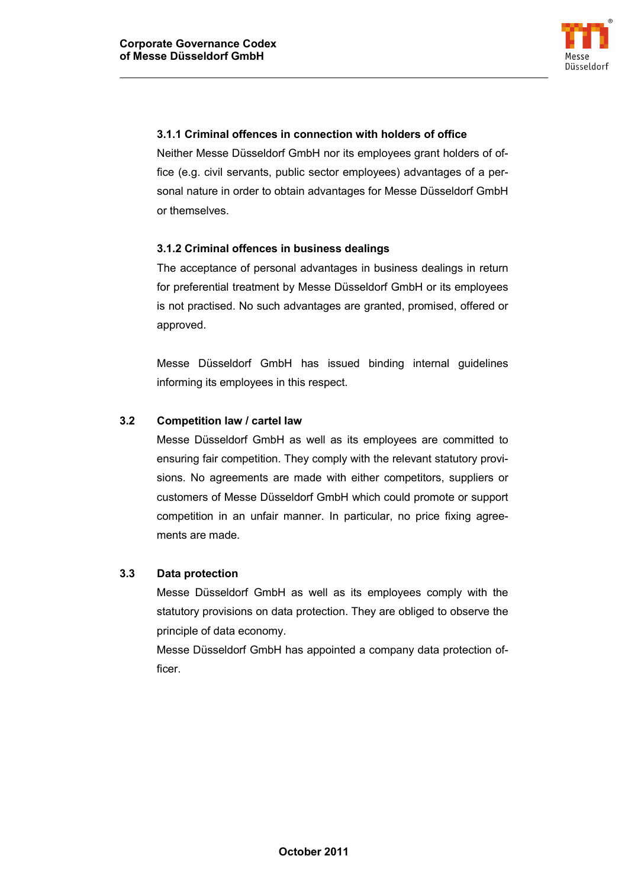

## **3.1.1 Criminal offences in connection with holders of office**

Neither Messe Düsseldorf GmbH nor its employees grant holders of office (e.g. civil servants, public sector employees) advantages of a personal nature in order to obtain advantages for Messe Düsseldorf GmbH or themselves.

### **3.1.2 Criminal offences in business dealings**

The acceptance of personal advantages in business dealings in return for preferential treatment by Messe Düsseldorf GmbH or its employees is not practised. No such advantages are granted, promised, offered or approved.

Messe Düsseldorf GmbH has issued binding internal guidelines informing its employees in this respect.

### **3.2 Competition law / cartel law**

Messe Düsseldorf GmbH as well as its employees are committed to ensuring fair competition. They comply with the relevant statutory provisions. No agreements are made with either competitors, suppliers or customers of Messe Düsseldorf GmbH which could promote or support competition in an unfair manner. In particular, no price fixing agreements are made.

#### **3.3 Data protection**

Messe Düsseldorf GmbH as well as its employees comply with the statutory provisions on data protection. They are obliged to observe the principle of data economy.

Messe Düsseldorf GmbH has appointed a company data protection officer.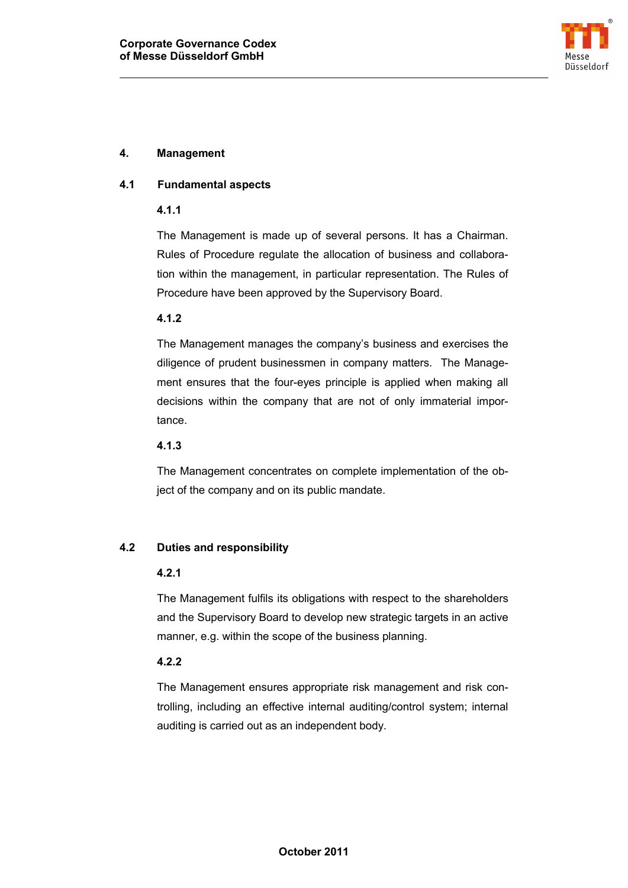

# **4. Management**

## **4.1 Fundamental aspects**

## **4.1.1**

The Management is made up of several persons. It has a Chairman. Rules of Procedure regulate the allocation of business and collaboration within the management, in particular representation. The Rules of Procedure have been approved by the Supervisory Board.

### **4.1.2**

The Management manages the company's business and exercises the diligence of prudent businessmen in company matters. The Management ensures that the four-eyes principle is applied when making all decisions within the company that are not of only immaterial importance.

#### **4.1.3**

The Management concentrates on complete implementation of the object of the company and on its public mandate.

## **4.2 Duties and responsibility**

## **4.2.1**

The Management fulfils its obligations with respect to the shareholders and the Supervisory Board to develop new strategic targets in an active manner, e.g. within the scope of the business planning.

## **4.2.2**

The Management ensures appropriate risk management and risk controlling, including an effective internal auditing/control system; internal auditing is carried out as an independent body.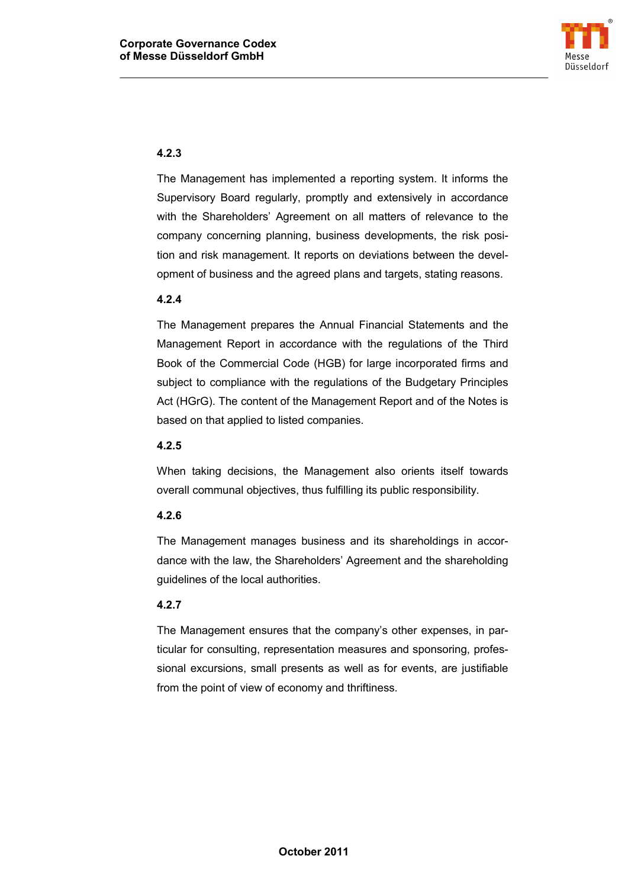

# **4.2.3**

The Management has implemented a reporting system. It informs the Supervisory Board regularly, promptly and extensively in accordance with the Shareholders' Agreement on all matters of relevance to the company concerning planning, business developments, the risk position and risk management. It reports on deviations between the development of business and the agreed plans and targets, stating reasons.

# **4.2.4**

The Management prepares the Annual Financial Statements and the Management Report in accordance with the regulations of the Third Book of the Commercial Code (HGB) for large incorporated firms and subject to compliance with the regulations of the Budgetary Principles Act (HGrG). The content of the Management Report and of the Notes is based on that applied to listed companies.

## **4.2.5**

When taking decisions, the Management also orients itself towards overall communal objectives, thus fulfilling its public responsibility.

## **4.2.6**

The Management manages business and its shareholdings in accordance with the law, the Shareholders' Agreement and the shareholding guidelines of the local authorities.

## **4.2.7**

The Management ensures that the company's other expenses, in particular for consulting, representation measures and sponsoring, professional excursions, small presents as well as for events, are justifiable from the point of view of economy and thriftiness.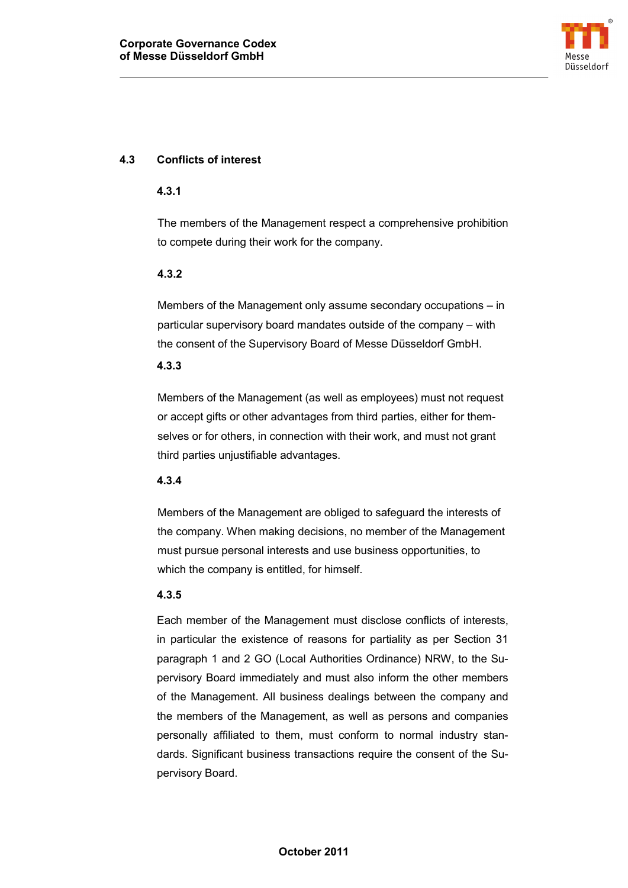

# **4.3 Conflicts of interest**

## **4.3.1**

The members of the Management respect a comprehensive prohibition to compete during their work for the company.

### **4.3.2**

Members of the Management only assume secondary occupations – in particular supervisory board mandates outside of the company – with the consent of the Supervisory Board of Messe Düsseldorf GmbH.

### **4.3.3**

Members of the Management (as well as employees) must not request or accept gifts or other advantages from third parties, either for themselves or for others, in connection with their work, and must not grant third parties unjustifiable advantages.

#### **4.3.4**

Members of the Management are obliged to safeguard the interests of the company. When making decisions, no member of the Management must pursue personal interests and use business opportunities, to which the company is entitled, for himself.

## **4.3.5**

Each member of the Management must disclose conflicts of interests, in particular the existence of reasons for partiality as per Section 31 paragraph 1 and 2 GO (Local Authorities Ordinance) NRW, to the Supervisory Board immediately and must also inform the other members of the Management. All business dealings between the company and the members of the Management, as well as persons and companies personally affiliated to them, must conform to normal industry standards. Significant business transactions require the consent of the Supervisory Board.